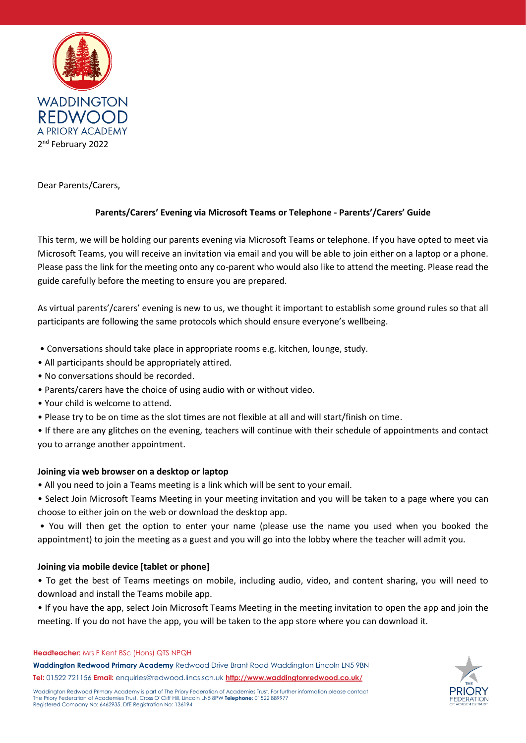

Dear Parents/Carers,

# **Parents/Carers' Evening via Microsoft Teams or Telephone - Parents'/Carers' Guide**

This term, we will be holding our parents evening via Microsoft Teams or telephone. If you have opted to meet via Microsoft Teams, you will receive an invitation via email and you will be able to join either on a laptop or a phone. Please pass the link for the meeting onto any co-parent who would also like to attend the meeting. Please read the guide carefully before the meeting to ensure you are prepared.

As virtual parents'/carers' evening is new to us, we thought it important to establish some ground rules so that all participants are following the same protocols which should ensure everyone's wellbeing.

- Conversations should take place in appropriate rooms e.g. kitchen, lounge, study.
- All participants should be appropriately attired.
- No conversations should be recorded.
- Parents/carers have the choice of using audio with or without video.
- Your child is welcome to attend.
- Please try to be on time as the slot times are not flexible at all and will start/finish on time.

• If there are any glitches on the evening, teachers will continue with their schedule of appointments and contact you to arrange another appointment.

# **Joining via web browser on a desktop or laptop**

- All you need to join a Teams meeting is a link which will be sent to your email.
- Select Join Microsoft Teams Meeting in your meeting invitation and you will be taken to a page where you can choose to either join on the web or download the desktop app.

• You will then get the option to enter your name (please use the name you used when you booked the appointment) to join the meeting as a guest and you will go into the lobby where the teacher will admit you.

# **Joining via mobile device [tablet or phone]**

• To get the best of Teams meetings on mobile, including audio, video, and content sharing, you will need to download and install the Teams mobile app.

• If you have the app, select Join Microsoft Teams Meeting in the meeting invitation to open the app and join the meeting. If you do not have the app, you will be taken to the app store where you can download it.

#### **Headteacher:** Mrs F Kent BSc (Hons) QTS NPQH

**Waddington Redwood Primary Academy** Redwood Drive Brant Road Waddington Lincoln LN5 9BN **Tel:** 01522 721156 **Email:** enquiries@redwood.lincs.sch.uk **<http://www.waddingtonredwood.co.uk/>**